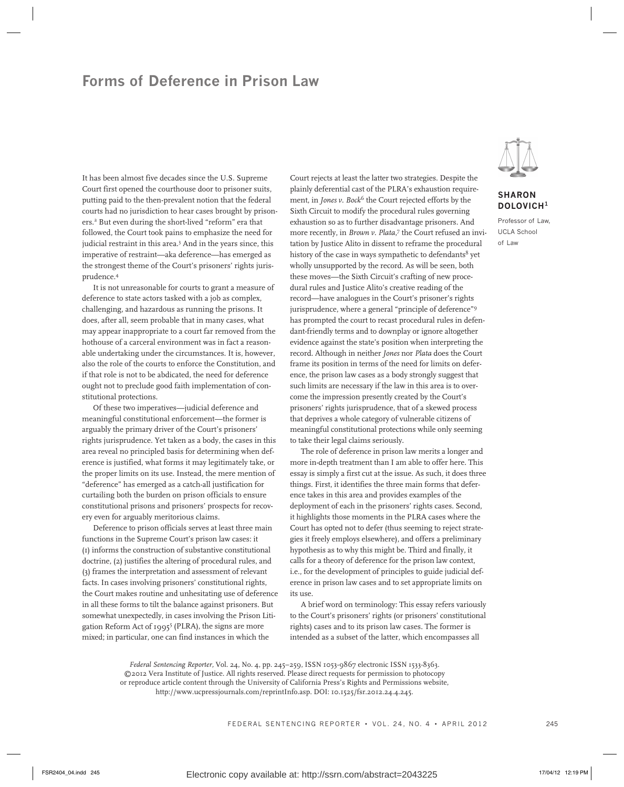# **Forms of Deference in Prison Law**

It has been almost five decades since the U.S. Supreme Court first opened the courthouse door to prisoner suits, putting paid to the then-prevalent notion that the federal courts had no jurisdiction to hear cases brought by prisoners.2 But even during the short-lived "reform" era that followed, the Court took pains to emphasize the need for judicial restraint in this area.3 And in the years since, this imperative of restraint—aka deference—has emerged as the strongest theme of the Court's prisoners' rights jurisprudence.4

It is not unreasonable for courts to grant a measure of deference to state actors tasked with a job as complex, challenging, and hazardous as running the prisons. It does, after all, seem probable that in many cases, what may appear inappropriate to a court far removed from the hothouse of a carceral environment was in fact a reasonable undertaking under the circumstances. It is, however, also the role of the courts to enforce the Constitution, and if that role is not to be abdicated, the need for deference ought not to preclude good faith implementation of constitutional protections.

Of these two imperatives—judicial deference and meaningful constitutional enforcement—the former is arguably the primary driver of the Court's prisoners' rights jurisprudence. Yet taken as a body, the cases in this area reveal no principled basis for determining when deference is justified, what forms it may legitimately take, or the proper limits on its use. Instead, the mere mention of "deference" has emerged as a catch-all justification for curtailing both the burden on prison officials to ensure constitutional prisons and prisoners' prospects for recovery even for arguably meritorious claims.

Deference to prison officials serves at least three main functions in the Supreme Court's prison law cases: it (1) informs the construction of substantive constitutional doctrine, (2) justifies the altering of procedural rules, and (3) frames the interpretation and assessment of relevant facts. In cases involving prisoners' constitutional rights, the Court makes routine and unhesitating use of deference in all these forms to tilt the balance against prisoners. But somewhat unexpectedly, in cases involving the Prison Litigation Reform Act of 1995<sup>5</sup> (PLRA), the signs are more mixed; in particular, one can find instances in which the

Court rejects at least the latter two strategies. Despite the plainly deferential cast of the PLRA's exhaustion requirement, in *Jones v. Bock*<sup>6</sup> the Court rejected efforts by the Sixth Circuit to modify the procedural rules governing exhaustion so as to further disadvantage prisoners. And more recently, in *Brown v. Plata*,7 the Court refused an invitation by Justice Alito in dissent to reframe the procedural history of the case in ways sympathetic to defendants<sup>8</sup> yet wholly unsupported by the record. As will be seen, both these moves—the Sixth Circuit's crafting of new procedural rules and Justice Alito's creative reading of the record—have analogues in the Court's prisoner's rights jurisprudence, where a general "principle of deference"9 has prompted the court to recast procedural rules in defendant-friendly terms and to downplay or ignore altogether evidence against the state's position when interpreting the record. Although in neither *Jones* nor *Plata* does the Court frame its position in terms of the need for limits on deference, the prison law cases as a body strongly suggest that such limits are necessary if the law in this area is to overcome the impression presently created by the Court's prisoners' rights jurisprudence, that of a skewed process that deprives a whole category of vulnerable citizens of meaningful constitutional protections while only seeming to take their legal claims seriously.

The role of deference in prison law merits a longer and more in-depth treatment than I am able to offer here. This essay is simply a first cut at the issue. As such, it does three things. First, it identifies the three main forms that deference takes in this area and provides examples of the deployment of each in the prisoners' rights cases. Second, it highlights those moments in the PLRA cases where the Court has opted not to defer (thus seeming to reject strategies it freely employs elsewhere), and offers a preliminary hypothesis as to why this might be. Third and finally, it calls for a theory of deference for the prison law context, i.e., for the development of principles to guide judicial deference in prison law cases and to set appropriate limits on its use.

A brief word on terminology: This essay refers variously to the Court's prisoners' rights (or prisoners' constitutional rights) cases and to its prison law cases. The former is intended as a subset of the latter, which encompasses all

*Federal Sentencing Reporter,* Vol. 24, No. 4, pp. 245–259, ISSN 1053-9867 electronic ISSN 1533-8363. ©2012 Vera Institute of Justice. All rights reserved. Please direct requests for permission to photocopy or reproduce article content through the University of California Press's Rights and Permissions website, http://www.ucpressjournals.com/reprintInfo.asp. DOI: 10.1525/fsr.2012.24.4.245.

FEDERAL SENTENCING REPORTER • VOL. 24, NO. 4 • APRIL 2012 245



## **Sharon Dolovich1**

Professor of Law, UCLA School of Law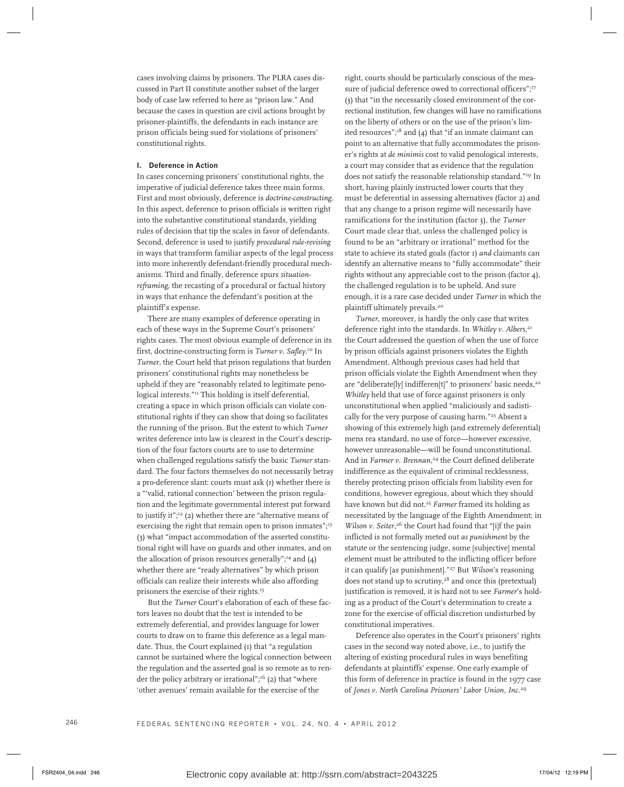cases involving claims by prisoners. The PLRA cases discussed in Part II constitute another subset of the larger body of case law referred to here as "prison law." And because the cases in question are civil actions brought by prisoner-plaintiffs, the defendants in each instance are prison officials being sued for violations of prisoners' constitutional rights.

### **I. Deference in Action**

In cases concerning prisoners' constitutional rights, the imperative of judicial deference takes three main forms. First and most obviously, deference is *doctrine-constructing*. In this aspect, deference to prison officials is written right into the substantive constitutional standards, yielding rules of decision that tip the scales in favor of defendants. Second, deference is used to justify *procedural rule-revising* in ways that transform familiar aspects of the legal process into more inherently defendant-friendly procedural mechanisms. Third and finally, deference spurs *situationreframing*, the recasting of a procedural or factual history in ways that enhance the defendant's position at the plaintiff's expense.

There are many examples of deference operating in each of these ways in the Supreme Court's prisoners' rights cases. The most obvious example of deference in its first, doctrine-constructing form is *Turner v. Safley*. 10 In *Turner*, the Court held that prison regulations that burden prisoners' constitutional rights may nonetheless be upheld if they are "reasonably related to legitimate penological interests."11 This holding is itself deferential, creating a space in which prison officials can violate constitutional rights if they can show that doing so facilitates the running of the prison. But the extent to which *Turner* writes deference into law is clearest in the Court's description of the four factors courts are to use to determine when challenged regulations satisfy the basic *Turner* standard. The four factors themselves do not necessarily betray a pro-deference slant: courts must ask (1) whether there is a "'valid, rational connection' between the prison regulation and the legitimate governmental interest put forward to justify it";<sup>12</sup> (2) whether there are "alternative means of exercising the right that remain open to prison inmates";<sup>13</sup> (3) what "impact accommodation of the asserted constitutional right will have on guards and other inmates, and on the allocation of prison resources generally";<sup>14</sup> and  $(4)$ whether there are "ready alternatives" by which prison officials can realize their interests while also affording prisoners the exercise of their rights.15

But the *Turner* Court's elaboration of each of these factors leaves no doubt that the test is intended to be extremely deferential, and provides language for lower courts to draw on to frame this deference as a legal mandate. Thus, the Court explained (1) that "a regulation cannot be sustained where the logical connection between the regulation and the asserted goal is so remote as to render the policy arbitrary or irrational";<sup>16</sup> (2) that "where 'other avenues' remain available for the exercise of the

right, courts should be particularly conscious of the measure of judicial deference owed to correctional officers";<sup>17</sup> (3) that "in the necessarily closed environment of the correctional institution, few changes will have no ramifications on the liberty of others or on the use of the prison's limited resources";<sup>18</sup> and  $(4)$  that "if an inmate claimant can point to an alternative that fully accommodates the prisoner's rights at *de minimis* cost to valid penological interests, a court may consider that as evidence that the regulation does not satisfy the reasonable relationship standard."19 In short, having plainly instructed lower courts that they must be deferential in assessing alternatives (factor 2) and that any change to a prison regime will necessarily have ramifications for the institution (factor 3), the *Turner* Court made clear that, unless the challenged policy is found to be an "arbitrary or irrational" method for the state to achieve its stated goals (factor 1) *and* claimants can identify an alternative means to "fully accommodate" their rights without any appreciable cost to the prison (factor 4), the challenged regulation is to be upheld. And sure enough, it is a rare case decided under *Turner* in which the plaintiff ultimately prevails.20

*Turner*, moreover, is hardly the only case that writes deference right into the standards. In *Whitley v. Albers*, 21 the Court addressed the question of when the use of force by prison officials against prisoners violates the Eighth Amendment. Although previous cases had held that prison officials violate the Eighth Amendment when they are "deliberate[ly] indifferen[t]" to prisoners' basic needs,<sup>22</sup> *Whitley* held that use of force against prisoners is only unconstitutional when applied "maliciously and sadistically for the very purpose of causing harm."<sup>23</sup> Absent a showing of this extremely high (and extremely deferential) mens rea standard, no use of force—however excessive, however unreasonable—will be found unconstitutional. And in *Farmer v. Brennan*, 24 the Court defined deliberate indifference as the equivalent of criminal recklessness, thereby protecting prison officials from liability even for conditions, however egregious, about which they should have known but did not.25 *Farmer* framed its holding as necessitated by the language of the Eighth Amendment; in Wilson v. Seiter,<sup>26</sup> the Court had found that "[i]f the pain inflicted is not formally meted out *as punishment* by the statute or the sentencing judge, some [subjective] mental element must be attributed to the inflicting officer before it can qualify [as punishment]."27 But *Wilson*'s reasoning does not stand up to scrutiny,<sup>28</sup> and once this (pretextual) justification is removed, it is hard not to see *Farmer*'s holding as a product of the Court's determination to create a zone for the exercise of official discretion undisturbed by constitutional imperatives.

Deference also operates in the Court's prisoners' rights cases in the second way noted above, i.e., to justify the altering of existing procedural rules in ways benefiting defendants at plaintiffs' expense. One early example of this form of deference in practice is found in the 1977 case of *Jones v. North Carolina Prisoners' Labor Union, Inc.*<sup>29</sup>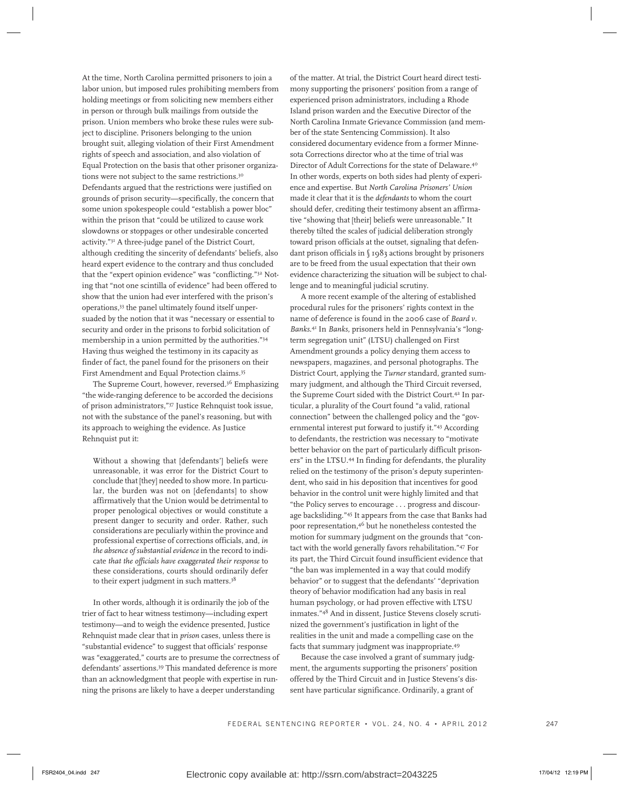At the time, North Carolina permitted prisoners to join a labor union, but imposed rules prohibiting members from holding meetings or from soliciting new members either in person or through bulk mailings from outside the prison. Union members who broke these rules were subject to discipline. Prisoners belonging to the union brought suit, alleging violation of their First Amendment rights of speech and association, and also violation of Equal Protection on the basis that other prisoner organizations were not subject to the same restrictions.<sup>30</sup> Defendants argued that the restrictions were justified on grounds of prison security—specifically, the concern that some union spokespeople could "establish a power bloc" within the prison that "could be utilized to cause work slowdowns or stoppages or other undesirable concerted activity."31 A three-judge panel of the District Court, although crediting the sincerity of defendants' beliefs, also heard expert evidence to the contrary and thus concluded that the "expert opinion evidence" was "conflicting."32 Noting that "not one scintilla of evidence" had been offered to show that the union had ever interfered with the prison's operations,33 the panel ultimately found itself unpersuaded by the notion that it was "necessary or essential to security and order in the prisons to forbid solicitation of membership in a union permitted by the authorities."34 Having thus weighed the testimony in its capacity as finder of fact, the panel found for the prisoners on their First Amendment and Equal Protection claims.35

The Supreme Court, however, reversed.<sup>36</sup> Emphasizing "the wide-ranging deference to be accorded the decisions of prison administrators,"37 Justice Rehnquist took issue, not with the substance of the panel's reasoning, but with its approach to weighing the evidence. As Justice Rehnquist put it:

Without a showing that [defendants'] beliefs were unreasonable, it was error for the District Court to conclude that [they] needed to show more. In particular, the burden was not on [defendants] to show affirmatively that the Union would be detrimental to proper penological objectives or would constitute a present danger to security and order. Rather, such considerations are peculiarly within the province and professional expertise of corrections officials, and, *in the absence of substantial evidence* in the record to indicate *that the officials have exaggerated their response* to these considerations, courts should ordinarily defer to their expert judgment in such matters.38

In other words, although it is ordinarily the job of the trier of fact to hear witness testimony—including expert testimony—and to weigh the evidence presented, Justice Rehnquist made clear that in *prison* cases, unless there is "substantial evidence" to suggest that officials' response was "exaggerated," courts are to presume the correctness of defendants' assertions.39 This mandated deference is more than an acknowledgment that people with expertise in running the prisons are likely to have a deeper understanding

of the matter. At trial, the District Court heard direct testimony supporting the prisoners' position from a range of experienced prison administrators, including a Rhode Island prison warden and the Executive Director of the North Carolina Inmate Grievance Commission (and member of the state Sentencing Commission). It also considered documentary evidence from a former Minnesota Corrections director who at the time of trial was Director of Adult Corrections for the state of Delaware.40 In other words, experts on both sides had plenty of experience and expertise. But *North Carolina Prisoners' Union* made it clear that it is the *defendants* to whom the court should defer, crediting their testimony absent an affirmative "showing that [their] beliefs were unreasonable." It thereby tilted the scales of judicial deliberation strongly toward prison officials at the outset, signaling that defendant prison officials in § 1983 actions brought by prisoners are to be freed from the usual expectation that their own evidence characterizing the situation will be subject to challenge and to meaningful judicial scrutiny.

A more recent example of the altering of established procedural rules for the prisoners' rights context in the name of deference is found in the 2006 case of *Beard v. Banks*. 41 In *Banks*, prisoners held in Pennsylvania's "longterm segregation unit" (LTSU) challenged on First Amendment grounds a policy denying them access to newspapers, magazines, and personal photographs. The District Court, applying the *Turner* standard, granted summary judgment, and although the Third Circuit reversed, the Supreme Court sided with the District Court.<sup>42</sup> In particular, a plurality of the Court found "a valid, rational connection" between the challenged policy and the "governmental interest put forward to justify it."43 According to defendants, the restriction was necessary to "motivate better behavior on the part of particularly difficult prisoners" in the LTSU.44 In finding for defendants, the plurality relied on the testimony of the prison's deputy superintendent, who said in his deposition that incentives for good behavior in the control unit were highly limited and that "the Policy serves to encourage . . . progress and discourage backsliding."45 It appears from the case that Banks had poor representation,46 but he nonetheless contested the motion for summary judgment on the grounds that "contact with the world generally favors rehabilitation."47 For its part, the Third Circuit found insufficient evidence that "the ban was implemented in a way that could modify behavior" or to suggest that the defendants' "deprivation theory of behavior modification had any basis in real human psychology, or had proven effective with LTSU inmates."48 And in dissent, Justice Stevens closely scrutinized the government's justification in light of the realities in the unit and made a compelling case on the facts that summary judgment was inappropriate.49

Because the case involved a grant of summary judgment, the arguments supporting the prisoners' position offered by the Third Circuit and in Justice Stevens's dissent have particular significance. Ordinarily, a grant of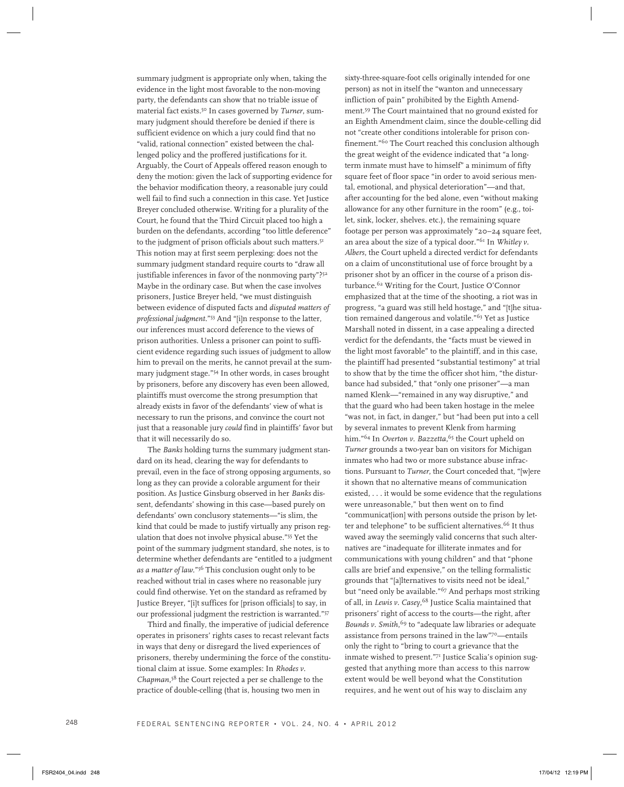summary judgment is appropriate only when, taking the evidence in the light most favorable to the non-moving party, the defendants can show that no triable issue of material fact exists.50 In cases governed by *Turner*, summary judgment should therefore be denied if there is sufficient evidence on which a jury could find that no "valid, rational connection" existed between the challenged policy and the proffered justifications for it. Arguably, the Court of Appeals offered reason enough to deny the motion: given the lack of supporting evidence for the behavior modification theory, a reasonable jury could well fail to find such a connection in this case. Yet Justice Breyer concluded otherwise. Writing for a plurality of the Court, he found that the Third Circuit placed too high a burden on the defendants, according "too little deference" to the judgment of prison officials about such matters.<sup>51</sup> This notion may at first seem perplexing: does not the summary judgment standard require courts to "draw all justifiable inferences in favor of the nonmoving party"?<sup>52</sup> Maybe in the ordinary case. But when the case involves prisoners, Justice Breyer held, "we must distinguish between evidence of disputed facts and *disputed matters of professional judgment*."53 And "[i]n response to the latter, our inferences must accord deference to the views of prison authorities. Unless a prisoner can point to sufficient evidence regarding such issues of judgment to allow him to prevail on the merits, he cannot prevail at the summary judgment stage."54 In other words, in cases brought by prisoners, before any discovery has even been allowed, plaintiffs must overcome the strong presumption that already exists in favor of the defendants' view of what is necessary to run the prisons, and convince the court not just that a reasonable jury *could* find in plaintiffs' favor but that it will necessarily do so.

The *Banks* holding turns the summary judgment standard on its head, clearing the way for defendants to prevail, even in the face of strong opposing arguments, so long as they can provide a colorable argument for their position. As Justice Ginsburg observed in her *Banks* dissent, defendants' showing in this case—based purely on defendants' own conclusory statements—"is slim, the kind that could be made to justify virtually any prison regulation that does not involve physical abuse."55 Yet the point of the summary judgment standard, she notes, is to determine whether defendants are "entitled to a judgment *as a matter of law*."56 This conclusion ought only to be reached without trial in cases where no reasonable jury could find otherwise. Yet on the standard as reframed by Justice Breyer, "[i]t suffices for [prison officials] to say, in our professional judgment the restriction is warranted."57

Third and finally, the imperative of judicial deference operates in prisoners' rights cases to recast relevant facts in ways that deny or disregard the lived experiences of prisoners, thereby undermining the force of the constitutional claim at issue. Some examples: In *Rhodes v. Chapman*, 58 the Court rejected a per se challenge to the practice of double-celling (that is, housing two men in

sixty-three-square-foot cells originally intended for one person) as not in itself the "wanton and unnecessary infliction of pain" prohibited by the Eighth Amendment.59 The Court maintained that no ground existed for an Eighth Amendment claim, since the double-celling did not "create other conditions intolerable for prison confinement."<sup>60</sup> The Court reached this conclusion although the great weight of the evidence indicated that "a longterm inmate must have to himself" a minimum of fifty square feet of floor space "in order to avoid serious mental, emotional, and physical deterioration"—and that, after accounting for the bed alone, even "without making allowance for any other furniture in the room" (e.g., toilet, sink, locker, shelves. etc.), the remaining square footage per person was approximately "20–24 square feet, an area about the size of a typical door."61 In *Whitley v. Albers*, the Court upheld a directed verdict for defendants on a claim of unconstitutional use of force brought by a prisoner shot by an officer in the course of a prison disturbance.<sup>62</sup> Writing for the Court, Justice O'Connor emphasized that at the time of the shooting, a riot was in progress, "a guard was still held hostage," and "[t]he situation remained dangerous and volatile."63 Yet as Justice Marshall noted in dissent, in a case appealing a directed verdict for the defendants, the "facts must be viewed in the light most favorable" to the plaintiff, and in this case, the plaintiff had presented "substantial testimony" at trial to show that by the time the officer shot him, "the disturbance had subsided," that "only one prisoner"—a man named Klenk—"remained in any way disruptive," and that the guard who had been taken hostage in the melee "was not, in fact, in danger," but "had been put into a cell by several inmates to prevent Klenk from harming him."64 In *Overton v. Bazzetta*, 65 the Court upheld on *Turner* grounds a two-year ban on visitors for Michigan inmates who had two or more substance abuse infractions. Pursuant to *Turner*, the Court conceded that, "[w]ere it shown that no alternative means of communication existed, . . . it would be some evidence that the regulations were unreasonable," but then went on to find "communicat[ion] with persons outside the prison by letter and telephone" to be sufficient alternatives.<sup>66</sup> It thus waved away the seemingly valid concerns that such alternatives are "inadequate for illiterate inmates and for communications with young children" and that "phone calls are brief and expensive," on the telling formalistic grounds that "[a]lternatives to visits need not be ideal," but "need only be available."67 And perhaps most striking of all, in *Lewis v. Casey*, 68 Justice Scalia maintained that prisoners' right of access to the courts—the right, after *Bounds v. Smith*, 69 to "adequate law libraries or adequate assistance from persons trained in the law"7°-entails only the right to "bring to court a grievance that the inmate wished to present."71 Justice Scalia's opinion suggested that anything more than access to this narrow extent would be well beyond what the Constitution requires, and he went out of his way to disclaim any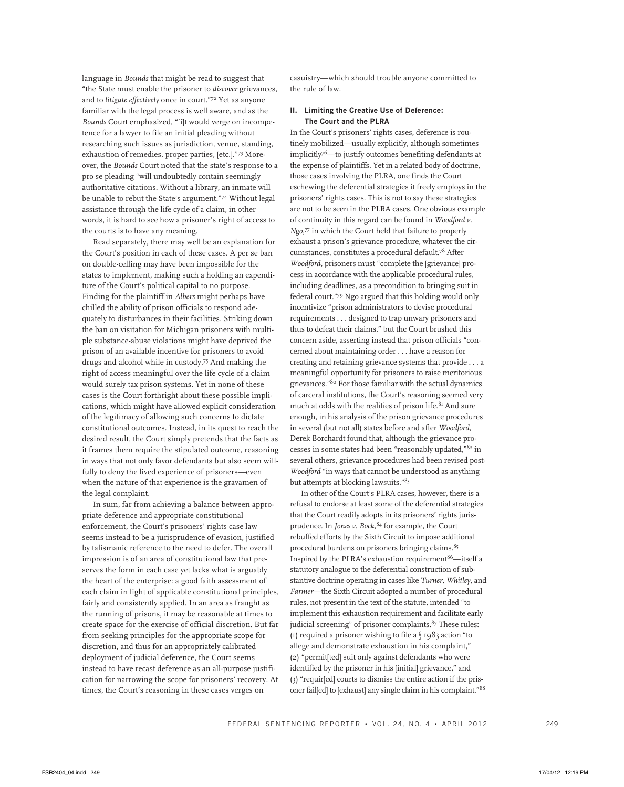language in *Bounds* that might be read to suggest that "the State must enable the prisoner to *discover* grievances, and to *litigate effectively* once in court."72 Yet as anyone familiar with the legal process is well aware, and as the *Bounds* Court emphasized, "[i]t would verge on incompetence for a lawyer to file an initial pleading without researching such issues as jurisdiction, venue, standing, exhaustion of remedies, proper parties, [etc.]."73 Moreover, the *Bounds* Court noted that the state's response to a pro se pleading "will undoubtedly contain seemingly authoritative citations. Without a library, an inmate will be unable to rebut the State's argument."74 Without legal assistance through the life cycle of a claim, in other words, it is hard to see how a prisoner's right of access to the courts is to have any meaning.

Read separately, there may well be an explanation for the Court's position in each of these cases. A per se ban on double-celling may have been impossible for the states to implement, making such a holding an expenditure of the Court's political capital to no purpose. Finding for the plaintiff in *Albers* might perhaps have chilled the ability of prison officials to respond adequately to disturbances in their facilities. Striking down the ban on visitation for Michigan prisoners with multiple substance-abuse violations might have deprived the prison of an available incentive for prisoners to avoid drugs and alcohol while in custody.75 And making the right of access meaningful over the life cycle of a claim would surely tax prison systems. Yet in none of these cases is the Court forthright about these possible implications, which might have allowed explicit consideration of the legitimacy of allowing such concerns to dictate constitutional outcomes. Instead, in its quest to reach the desired result, the Court simply pretends that the facts as it frames them require the stipulated outcome, reasoning in ways that not only favor defendants but also seem willfully to deny the lived experience of prisoners—even when the nature of that experience is the gravamen of the legal complaint.

In sum, far from achieving a balance between appropriate deference and appropriate constitutional enforcement, the Court's prisoners' rights case law seems instead to be a jurisprudence of evasion, justified by talismanic reference to the need to defer. The overall impression is of an area of constitutional law that preserves the form in each case yet lacks what is arguably the heart of the enterprise: a good faith assessment of each claim in light of applicable constitutional principles, fairly and consistently applied. In an area as fraught as the running of prisons, it may be reasonable at times to create space for the exercise of official discretion. But far from seeking principles for the appropriate scope for discretion, and thus for an appropriately calibrated deployment of judicial deference, the Court seems instead to have recast deference as an all-purpose justification for narrowing the scope for prisoners' recovery. At times, the Court's reasoning in these cases verges on

casuistry—which should trouble anyone committed to the rule of law.

## **II. Limiting the Creative Use of Deference: The Court and the PLRA**

In the Court's prisoners' rights cases, deference is routinely mobilized—usually explicitly, although sometimes implicitly76—to justify outcomes benefiting defendants at the expense of plaintiffs. Yet in a related body of doctrine, those cases involving the PLRA, one finds the Court eschewing the deferential strategies it freely employs in the prisoners' rights cases. This is not to say these strategies are not to be seen in the PLRA cases. One obvious example of continuity in this regard can be found in *Woodford v. Ngo*, 77 in which the Court held that failure to properly exhaust a prison's grievance procedure, whatever the circumstances, constitutes a procedural default.78 After *Woodford*, prisoners must "complete the [grievance] process in accordance with the applicable procedural rules, including deadlines, as a precondition to bringing suit in federal court."79 Ngo argued that this holding would only incentivize "prison administrators to devise procedural requirements . . . designed to trap unwary prisoners and thus to defeat their claims," but the Court brushed this concern aside, asserting instead that prison officials "concerned about maintaining order . . . have a reason for creating and retaining grievance systems that provide . . . a meaningful opportunity for prisoners to raise meritorious grievances."80 For those familiar with the actual dynamics of carceral institutions, the Court's reasoning seemed very much at odds with the realities of prison life.<sup>81</sup> And sure enough, in his analysis of the prison grievance procedures in several (but not all) states before and after *Woodford*, Derek Borchardt found that, although the grievance processes in some states had been "reasonably updated,"82 in several others, grievance procedures had been revised post-*Woodford* "in ways that cannot be understood as anything but attempts at blocking lawsuits."83

In other of the Court's PLRA cases, however, there is a refusal to endorse at least some of the deferential strategies that the Court readily adopts in its prisoners' rights jurisprudence. In *Jones v. Bock*, 84 for example, the Court rebuffed efforts by the Sixth Circuit to impose additional procedural burdens on prisoners bringing claims.<sup>85</sup> Inspired by the PLRA's exhaustion requirement $86$ —itself a statutory analogue to the deferential construction of substantive doctrine operating in cases like *Turner*, *Whitley*, and *Farmer*—the Sixth Circuit adopted a number of procedural rules, not present in the text of the statute, intended "to implement this exhaustion requirement and facilitate early judicial screening" of prisoner complaints. $87$  These rules: (1) required a prisoner wishing to file a § 1983 action "to allege and demonstrate exhaustion in his complaint," (2) "permit[ted] suit only against defendants who were identified by the prisoner in his [initial] grievance," and (3) "requir[ed] courts to dismiss the entire action if the prisoner fail[ed] to [exhaust] any single claim in his complaint."88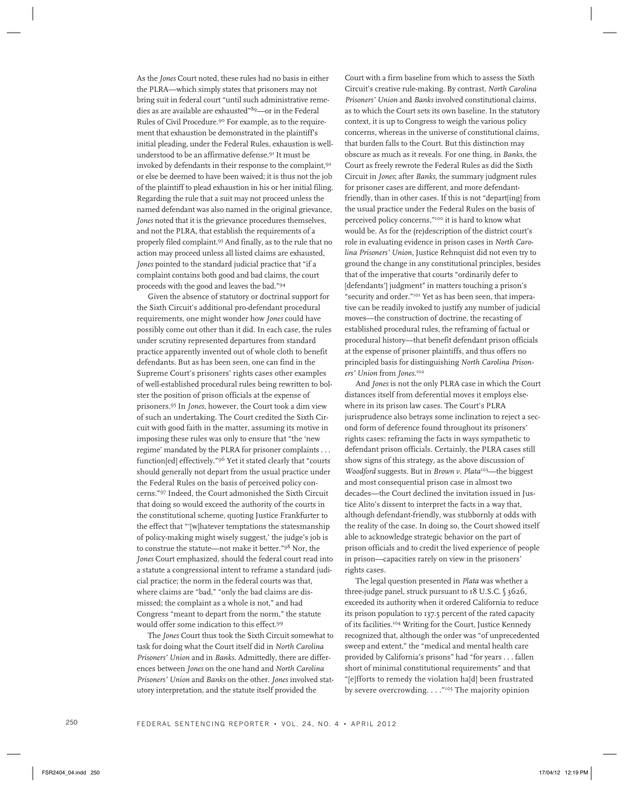As the *Jones* Court noted, these rules had no basis in either the PLRA—which simply states that prisoners may not bring suit in federal court "until such administrative remedies as are available are exhausted"89—or in the Federal Rules of Civil Procedure.<sup>90</sup> For example, as to the requirement that exhaustion be demonstrated in the plaintiff's initial pleading, under the Federal Rules, exhaustion is wellunderstood to be an affirmative defense.<sup>91</sup> It must be invoked by defendants in their response to the complaint, 92 or else be deemed to have been waived; it is thus not the job of the plaintiff to plead exhaustion in his or her initial filing. Regarding the rule that a suit may not proceed unless the named defendant was also named in the original grievance, *Jones* noted that it is the grievance procedures themselves, and not the PLRA, that establish the requirements of a properly filed complaint.93 And finally, as to the rule that no action may proceed unless all listed claims are exhausted, *Jones* pointed to the standard judicial practice that "if a complaint contains both good and bad claims, the court proceeds with the good and leaves the bad."94

Given the absence of statutory or doctrinal support for the Sixth Circuit's additional pro-defendant procedural requirements, one might wonder how *Jones* could have possibly come out other than it did. In each case, the rules under scrutiny represented departures from standard practice apparently invented out of whole cloth to benefit defendants. But as has been seen, one can find in the Supreme Court's prisoners' rights cases other examples of well-established procedural rules being rewritten to bolster the position of prison officials at the expense of prisoners.95 In *Jones*, however, the Court took a dim view of such an undertaking. The Court credited the Sixth Circuit with good faith in the matter, assuming its motive in imposing these rules was only to ensure that "the 'new regime' mandated by the PLRA for prisoner complaints . . . function[ed] effectively."96 Yet it stated clearly that "courts should generally not depart from the usual practice under the Federal Rules on the basis of perceived policy concerns."97 Indeed, the Court admonished the Sixth Circuit that doing so would exceed the authority of the courts in the constitutional scheme, quoting Justice Frankfurter to the effect that "'[w]hatever temptations the statesmanship of policy-making might wisely suggest,' the judge's job is to construe the statute—not make it better."98 Nor, the *Jones* Court emphasized, should the federal court read into a statute a congressional intent to reframe a standard judicial practice; the norm in the federal courts was that, where claims are "bad," "only the bad claims are dismissed; the complaint as a whole is not," and had Congress "meant to depart from the norm," the statute would offer some indication to this effect.99

The *Jones* Court thus took the Sixth Circuit somewhat to task for doing what the Court itself did in *North Carolina Prisoners' Union* and in *Banks*. Admittedly, there are differences between *Jones* on the one hand and *North Carolina Prisoners' Union* and *Banks* on the other. *Jones* involved statutory interpretation, and the statute itself provided the

Court with a firm baseline from which to assess the Sixth Circuit's creative rule-making. By contrast, *North Carolina Prisoners' Union* and *Banks* involved constitutional claims, as to which the Court sets its own baseline. In the statutory context, it is up to Congress to weigh the various policy concerns, whereas in the universe of constitutional claims, that burden falls to the Court. But this distinction may obscure as much as it reveals. For one thing, in *Banks*, the Court as freely rewrote the Federal Rules as did the Sixth Circuit in *Jones*; after *Banks*, the summary judgment rules for prisoner cases are different, and more defendantfriendly, than in other cases. If this is not "depart[ing] from the usual practice under the Federal Rules on the basis of perceived policy concerns,"<sup>100</sup> it is hard to know what would be. As for the (re)description of the district court's role in evaluating evidence in prison cases in *North Carolina Prisoners' Union*, Justice Rehnquist did not even try to ground the change in any constitutional principles, besides that of the imperative that courts "ordinarily defer to [defendants'] judgment" in matters touching a prison's "security and order."101 Yet as has been seen, that imperative can be readily invoked to justify any number of judicial moves—the construction of doctrine, the recasting of established procedural rules, the reframing of factual or procedural history—that benefit defendant prison officials at the expense of prisoner plaintiffs, and thus offers no principled basis for distinguishing *North Carolina Prisoners' Union* from *Jones*. 102

And *Jones* is not the only PLRA case in which the Court distances itself from deferential moves it employs elsewhere in its prison law cases. The Court's PLRA jurisprudence also betrays some inclination to reject a second form of deference found throughout its prisoners' rights cases: reframing the facts in ways sympathetic to defendant prison officials. Certainly, the PLRA cases still show signs of this strategy, as the above discussion of *Woodford* suggests. But in *Brown v. Plata*<sup>103</sup>—the biggest and most consequential prison case in almost two decades—the Court declined the invitation issued in Justice Alito's dissent to interpret the facts in a way that, although defendant-friendly, was stubbornly at odds with the reality of the case. In doing so, the Court showed itself able to acknowledge strategic behavior on the part of prison officials and to credit the lived experience of people in prison—capacities rarely on view in the prisoners' rights cases.

The legal question presented in *Plata* was whether a three-judge panel, struck pursuant to 18 U.S.C. § 3626, exceeded its authority when it ordered California to reduce its prison population to 137.5 percent of the rated capacity of its facilities.104 Writing for the Court, Justice Kennedy recognized that, although the order was "of unprecedented sweep and extent," the "medical and mental health care provided by California's prisons" had "for years . . . fallen short of minimal constitutional requirements" and that "[e]fforts to remedy the violation ha[d] been frustrated by severe overcrowding. . . . "<sup>105</sup> The majority opinion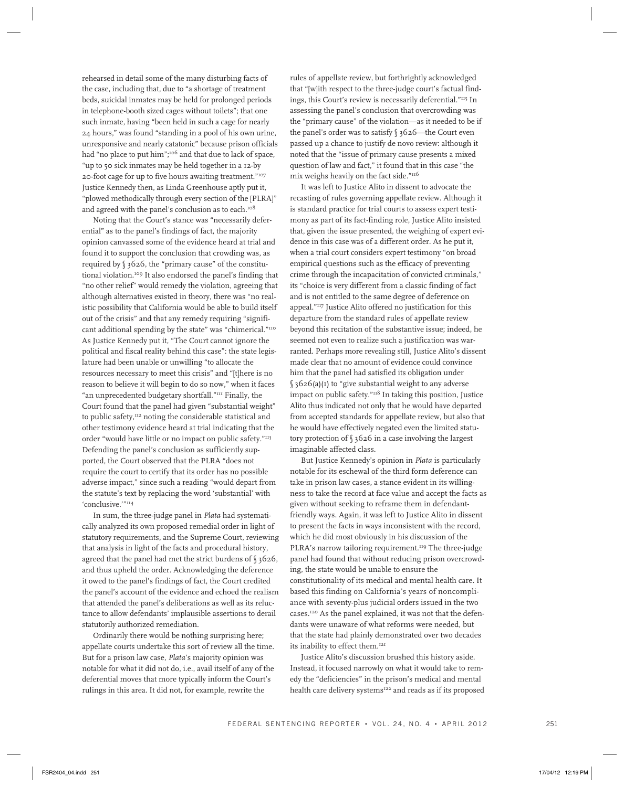rehearsed in detail some of the many disturbing facts of the case, including that, due to "a shortage of treatment beds, suicidal inmates may be held for prolonged periods in telephone-booth sized cages without toilets"; that one such inmate, having "been held in such a cage for nearly 24 hours," was found "standing in a pool of his own urine, unresponsive and nearly catatonic" because prison officials had "no place to put him";<sup>106</sup> and that due to lack of space, "up to 50 sick inmates may be held together in a 12-by 20-foot cage for up to five hours awaiting treatment."107 Justice Kennedy then, as Linda Greenhouse aptly put it, "plowed methodically through every section of the [PLRA]" and agreed with the panel's conclusion as to each.<sup>108</sup>

Noting that the Court's stance was "necessarily deferential" as to the panel's findings of fact, the majority opinion canvassed some of the evidence heard at trial and found it to support the conclusion that crowding was, as required by § 3626, the "primary cause" of the constitutional violation.109 It also endorsed the panel's finding that "no other relief" would remedy the violation, agreeing that although alternatives existed in theory, there was "no realistic possibility that California would be able to build itself out of the crisis" and that any remedy requiring "significant additional spending by the state" was "chimerical."110 As Justice Kennedy put it, "The Court cannot ignore the political and fiscal reality behind this case": the state legislature had been unable or unwilling "to allocate the resources necessary to meet this crisis" and "[t]here is no reason to believe it will begin to do so now," when it faces "an unprecedented budgetary shortfall."111 Finally, the Court found that the panel had given "substantial weight" to public safety,<sup>112</sup> noting the considerable statistical and other testimony evidence heard at trial indicating that the order "would have little or no impact on public safety."113 Defending the panel's conclusion as sufficiently supported, the Court observed that the PLRA "does not require the court to certify that its order has no possible adverse impact," since such a reading "would depart from the statute's text by replacing the word 'substantial' with 'conclusive.'"114

In sum, the three-judge panel in *Plata* had systematically analyzed its own proposed remedial order in light of statutory requirements, and the Supreme Court, reviewing that analysis in light of the facts and procedural history, agreed that the panel had met the strict burdens of § 3626, and thus upheld the order. Acknowledging the deference it owed to the panel's findings of fact, the Court credited the panel's account of the evidence and echoed the realism that attended the panel's deliberations as well as its reluctance to allow defendants' implausible assertions to derail statutorily authorized remediation.

Ordinarily there would be nothing surprising here; appellate courts undertake this sort of review all the time. But for a prison law case, *Plata*'s majority opinion was notable for what it did not do, i.e., avail itself of any of the deferential moves that more typically inform the Court's rulings in this area. It did not, for example, rewrite the

rules of appellate review, but forthrightly acknowledged that "[w]ith respect to the three-judge court's factual findings, this Court's review is necessarily deferential."115 In assessing the panel's conclusion that overcrowding was the "primary cause" of the violation—as it needed to be if the panel's order was to satisfy § 3626—the Court even passed up a chance to justify de novo review: although it noted that the "issue of primary cause presents a mixed question of law and fact," it found that in this case "the mix weighs heavily on the fact side."116

It was left to Justice Alito in dissent to advocate the recasting of rules governing appellate review. Although it is standard practice for trial courts to assess expert testimony as part of its fact-finding role, Justice Alito insisted that, given the issue presented, the weighing of expert evidence in this case was of a different order. As he put it, when a trial court considers expert testimony "on broad empirical questions such as the efficacy of preventing crime through the incapacitation of convicted criminals," its "choice is very different from a classic finding of fact and is not entitled to the same degree of deference on appeal."117 Justice Alito offered no justification for this departure from the standard rules of appellate review beyond this recitation of the substantive issue; indeed, he seemed not even to realize such a justification was warranted. Perhaps more revealing still, Justice Alito's dissent made clear that no amount of evidence could convince him that the panel had satisfied its obligation under § 3626(a)(1) to "give substantial weight to any adverse impact on public safety."118 In taking this position, Justice Alito thus indicated not only that he would have departed from accepted standards for appellate review, but also that he would have effectively negated even the limited statutory protection of § 3626 in a case involving the largest imaginable affected class.

But Justice Kennedy's opinion in *Plata* is particularly notable for its eschewal of the third form deference can take in prison law cases, a stance evident in its willingness to take the record at face value and accept the facts as given without seeking to reframe them in defendantfriendly ways. Again, it was left to Justice Alito in dissent to present the facts in ways inconsistent with the record, which he did most obviously in his discussion of the PLRA's narrow tailoring requirement.<sup>119</sup> The three-judge panel had found that without reducing prison overcrowding, the state would be unable to ensure the constitutionality of its medical and mental health care. It based this finding on California's years of noncompliance with seventy-plus judicial orders issued in the two cases.120 As the panel explained, it was not that the defendants were unaware of what reforms were needed, but that the state had plainly demonstrated over two decades its inability to effect them.<sup>121</sup>

Justice Alito's discussion brushed this history aside. Instead, it focused narrowly on what it would take to remedy the "deficiencies" in the prison's medical and mental health care delivery systems<sup>122</sup> and reads as if its proposed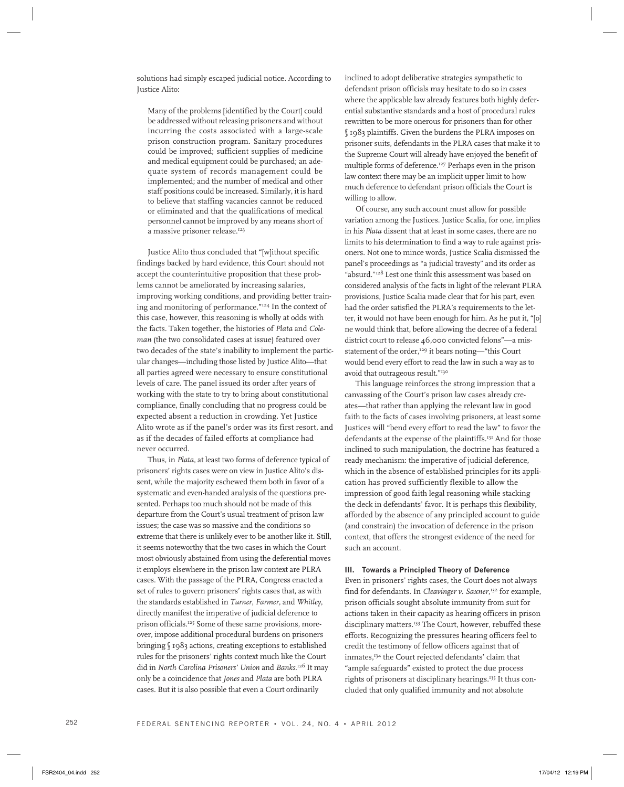solutions had simply escaped judicial notice. According to Justice Alito:

Many of the problems [identified by the Court] could be addressed without releasing prisoners and without incurring the costs associated with a large-scale prison construction program. Sanitary procedures could be improved; sufficient supplies of medicine and medical equipment could be purchased; an adequate system of records management could be implemented; and the number of medical and other staff positions could be increased. Similarly, it is hard to believe that staffing vacancies cannot be reduced or eliminated and that the qualifications of medical personnel cannot be improved by any means short of a massive prisoner release.<sup>123</sup>

Justice Alito thus concluded that "[w]ithout specific findings backed by hard evidence, this Court should not accept the counterintuitive proposition that these problems cannot be ameliorated by increasing salaries, improving working conditions, and providing better training and monitoring of performance."124 In the context of this case, however, this reasoning is wholly at odds with the facts*.* Taken together, the histories of *Plata* and *Coleman* (the two consolidated cases at issue) featured over two decades of the state's inability to implement the particular changes—including those listed by Justice Alito—that all parties agreed were necessary to ensure constitutional levels of care. The panel issued its order after years of working with the state to try to bring about constitutional compliance, finally concluding that no progress could be expected absent a reduction in crowding. Yet Justice Alito wrote as if the panel's order was its first resort, and as if the decades of failed efforts at compliance had never occurred.

Thus, in *Plata*, at least two forms of deference typical of prisoners' rights cases were on view in Justice Alito's dissent, while the majority eschewed them both in favor of a systematic and even-handed analysis of the questions presented. Perhaps too much should not be made of this departure from the Court's usual treatment of prison law issues; the case was so massive and the conditions so extreme that there is unlikely ever to be another like it. Still, it seems noteworthy that the two cases in which the Court most obviously abstained from using the deferential moves it employs elsewhere in the prison law context are PLRA cases. With the passage of the PLRA, Congress enacted a set of rules to govern prisoners' rights cases that, as with the standards established in *Turner*, *Farmer*, and *Whitley*, directly manifest the imperative of judicial deference to prison officials.125 Some of these same provisions, moreover, impose additional procedural burdens on prisoners bringing § 1983 actions, creating exceptions to established rules for the prisoners' rights context much like the Court did in *North Carolina Prisoners' Union* and *Banks*. 126 It may only be a coincidence that *Jones* and *Plata* are both PLRA cases. But it is also possible that even a Court ordinarily

inclined to adopt deliberative strategies sympathetic to defendant prison officials may hesitate to do so in cases where the applicable law already features both highly deferential substantive standards and a host of procedural rules rewritten to be more onerous for prisoners than for other § 1983 plaintiffs. Given the burdens the PLRA imposes on prisoner suits, defendants in the PLRA cases that make it to the Supreme Court will already have enjoyed the benefit of multiple forms of deference.127 Perhaps even in the prison law context there may be an implicit upper limit to how much deference to defendant prison officials the Court is willing to allow.

Of course, any such account must allow for possible variation among the Justices. Justice Scalia, for one, implies in his *Plata* dissent that at least in some cases, there are no limits to his determination to find a way to rule against prisoners. Not one to mince words, Justice Scalia dismissed the panel's proceedings as "a judicial travesty" and its order as "absurd."128 Lest one think this assessment was based on considered analysis of the facts in light of the relevant PLRA provisions, Justice Scalia made clear that for his part, even had the order satisfied the PLRA's requirements to the letter, it would not have been enough for him. As he put it, "[o] ne would think that, before allowing the decree of a federal district court to release 46,000 convicted felons"—a misstatement of the order,<sup>129</sup> it bears noting—"this Court would bend every effort to read the law in such a way as to avoid that outrageous result."<sup>130</sup>

This language reinforces the strong impression that a canvassing of the Court's prison law cases already creates—that rather than applying the relevant law in good faith to the facts of cases involving prisoners, at least some Justices will "bend every effort to read the law" to favor the defendants at the expense of the plaintiffs.<sup>131</sup> And for those inclined to such manipulation, the doctrine has featured a ready mechanism: the imperative of judicial deference, which in the absence of established principles for its application has proved sufficiently flexible to allow the impression of good faith legal reasoning while stacking the deck in defendants' favor. It is perhaps this flexibility, afforded by the absence of any principled account to guide (and constrain) the invocation of deference in the prison context, that offers the strongest evidence of the need for such an account.

#### **III. Towards a Principled Theory of Deference**

Even in prisoners' rights cases, the Court does not always find for defendants. In *Cleavinger v. Saxner*, 132 for example, prison officials sought absolute immunity from suit for actions taken in their capacity as hearing officers in prison disciplinary matters.<sup>133</sup> The Court, however, rebuffed these efforts. Recognizing the pressures hearing officers feel to credit the testimony of fellow officers against that of inmates,<sup>134</sup> the Court rejected defendants' claim that "ample safeguards" existed to protect the due process rights of prisoners at disciplinary hearings.<sup>135</sup> It thus concluded that only qualified immunity and not absolute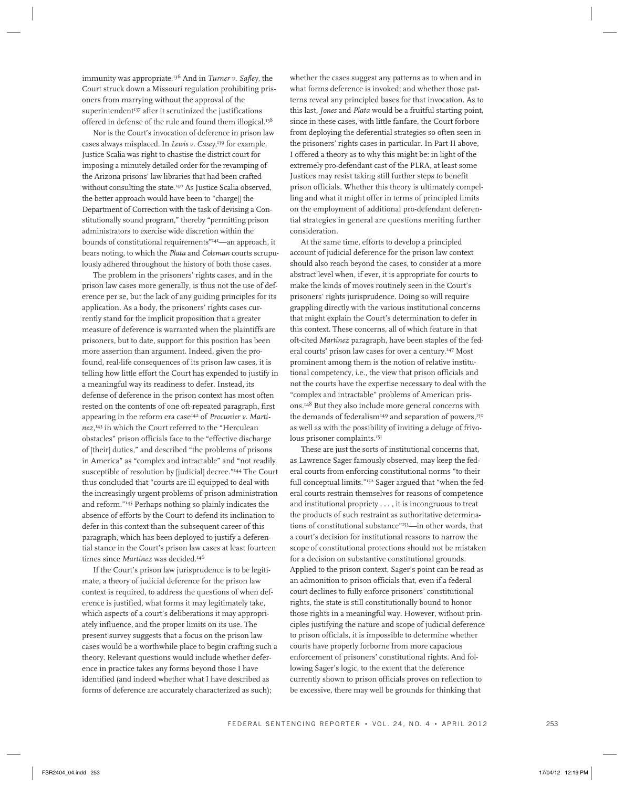Nor is the Court's invocation of deference in prison law cases always misplaced. In *Lewis v. Casey*, 139 for example, Justice Scalia was right to chastise the district court for imposing a minutely detailed order for the revamping of the Arizona prisons' law libraries that had been crafted without consulting the state.<sup>140</sup> As Justice Scalia observed, the better approach would have been to "charge[] the Department of Correction with the task of devising a Constitutionally sound program," thereby "permitting prison administrators to exercise wide discretion within the bounds of constitutional requirements"141—an approach, it bears noting, to which the *Plata* and *Coleman* courts scrupulously adhered throughout the history of both those cases.

The problem in the prisoners' rights cases, and in the prison law cases more generally, is thus not the use of deference per se, but the lack of any guiding principles for its application. As a body, the prisoners' rights cases currently stand for the implicit proposition that a greater measure of deference is warranted when the plaintiffs are prisoners, but to date, support for this position has been more assertion than argument. Indeed, given the profound, real-life consequences of its prison law cases, it is telling how little effort the Court has expended to justify in a meaningful way its readiness to defer. Instead, its defense of deference in the prison context has most often rested on the contents of one oft-repeated paragraph, first appearing in the reform era case<sup>142</sup> of *Procunier v. Martinez*, 143 in which the Court referred to the "Herculean obstacles" prison officials face to the "effective discharge of [their] duties," and described "the problems of prisons in America" as "complex and intractable" and "not readily susceptible of resolution by [judicial] decree."<sup>144</sup> The Court thus concluded that "courts are ill equipped to deal with the increasingly urgent problems of prison administration and reform."145 Perhaps nothing so plainly indicates the absence of efforts by the Court to defend its inclination to defer in this context than the subsequent career of this paragraph, which has been deployed to justify a deferential stance in the Court's prison law cases at least fourteen times since *Martinez* was decided.<sup>146</sup>

If the Court's prison law jurisprudence is to be legitimate, a theory of judicial deference for the prison law context is required, to address the questions of when deference is justified, what forms it may legitimately take, which aspects of a court's deliberations it may appropriately influence, and the proper limits on its use. The present survey suggests that a focus on the prison law cases would be a worthwhile place to begin crafting such a theory. Relevant questions would include whether deference in practice takes any forms beyond those I have identified (and indeed whether what I have described as forms of deference are accurately characterized as such);

whether the cases suggest any patterns as to when and in what forms deference is invoked; and whether those patterns reveal any principled bases for that invocation. As to this last, *Jones* and *Plata* would be a fruitful starting point, since in these cases, with little fanfare, the Court forbore from deploying the deferential strategies so often seen in the prisoners' rights cases in particular. In Part II above, I offered a theory as to why this might be: in light of the extremely pro-defendant cast of the PLRA, at least some Justices may resist taking still further steps to benefit prison officials. Whether this theory is ultimately compelling and what it might offer in terms of principled limits on the employment of additional pro-defendant deferential strategies in general are questions meriting further consideration.

At the same time, efforts to develop a principled account of judicial deference for the prison law context should also reach beyond the cases, to consider at a more abstract level when, if ever, it is appropriate for courts to make the kinds of moves routinely seen in the Court's prisoners' rights jurisprudence. Doing so will require grappling directly with the various institutional concerns that might explain the Court's determination to defer in this context. These concerns, all of which feature in that oft-cited *Martinez* paragraph, have been staples of the federal courts' prison law cases for over a century.147 Most prominent among them is the notion of relative institutional competency, i.e., the view that prison officials and not the courts have the expertise necessary to deal with the "complex and intractable" problems of American prisons.148 But they also include more general concerns with the demands of federalism<sup>149</sup> and separation of powers,<sup>150</sup> as well as with the possibility of inviting a deluge of frivolous prisoner complaints.<sup>151</sup>

These are just the sorts of institutional concerns that, as Lawrence Sager famously observed, may keep the federal courts from enforcing constitutional norms "to their full conceptual limits."<sup>152</sup> Sager argued that "when the federal courts restrain themselves for reasons of competence and institutional propriety . . . , it is incongruous to treat the products of such restraint as authoritative determinations of constitutional substance"153—in other words, that a court's decision for institutional reasons to narrow the scope of constitutional protections should not be mistaken for a decision on substantive constitutional grounds. Applied to the prison context, Sager's point can be read as an admonition to prison officials that, even if a federal court declines to fully enforce prisoners' constitutional rights, the state is still constitutionally bound to honor those rights in a meaningful way. However, without principles justifying the nature and scope of judicial deference to prison officials, it is impossible to determine whether courts have properly forborne from more capacious enforcement of prisoners' constitutional rights. And following Sager's logic, to the extent that the deference currently shown to prison officials proves on reflection to be excessive, there may well be grounds for thinking that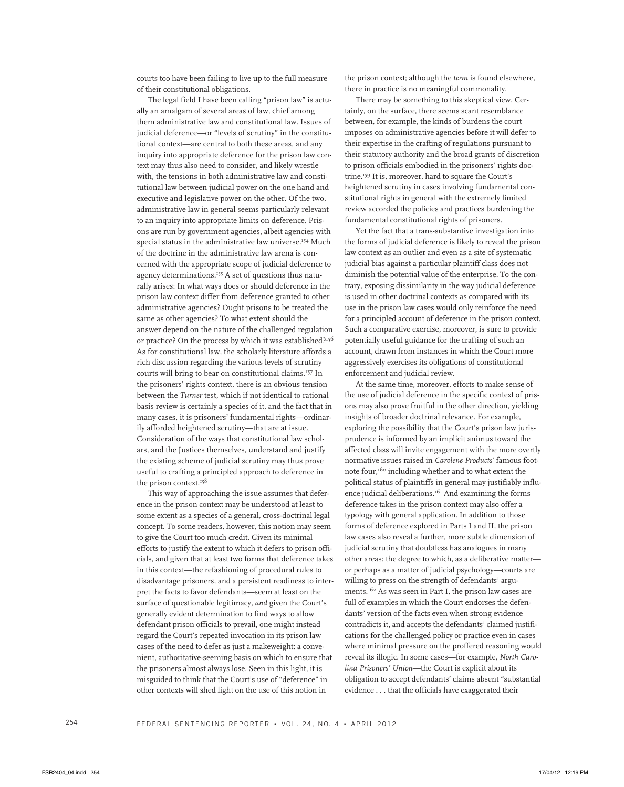courts too have been failing to live up to the full measure of their constitutional obligations.

The legal field I have been calling "prison law" is actually an amalgam of several areas of law, chief among them administrative law and constitutional law. Issues of judicial deference—or "levels of scrutiny" in the constitutional context—are central to both these areas, and any inquiry into appropriate deference for the prison law context may thus also need to consider, and likely wrestle with, the tensions in both administrative law and constitutional law between judicial power on the one hand and executive and legislative power on the other. Of the two, administrative law in general seems particularly relevant to an inquiry into appropriate limits on deference. Prisons are run by government agencies, albeit agencies with special status in the administrative law universe.<sup>154</sup> Much of the doctrine in the administrative law arena is concerned with the appropriate scope of judicial deference to agency determinations.<sup>155</sup> A set of questions thus naturally arises: In what ways does or should deference in the prison law context differ from deference granted to other administrative agencies? Ought prisons to be treated the same as other agencies? To what extent should the answer depend on the nature of the challenged regulation or practice? On the process by which it was established?<sup>156</sup> As for constitutional law, the scholarly literature affords a rich discussion regarding the various levels of scrutiny courts will bring to bear on constitutional claims.157 In the prisoners' rights context, there is an obvious tension between the *Turner* test, which if not identical to rational basis review is certainly a species of it, and the fact that in many cases, it is prisoners' fundamental rights—ordinarily afforded heightened scrutiny—that are at issue. Consideration of the ways that constitutional law scholars, and the Justices themselves, understand and justify the existing scheme of judicial scrutiny may thus prove useful to crafting a principled approach to deference in the prison context.<sup>158</sup>

This way of approaching the issue assumes that deference in the prison context may be understood at least to some extent as a species of a general, cross-doctrinal legal concept. To some readers, however, this notion may seem to give the Court too much credit. Given its minimal efforts to justify the extent to which it defers to prison officials, and given that at least two forms that deference takes in this context—the refashioning of procedural rules to disadvantage prisoners, and a persistent readiness to interpret the facts to favor defendants—seem at least on the surface of questionable legitimacy, *and* given the Court's generally evident determination to find ways to allow defendant prison officials to prevail, one might instead regard the Court's repeated invocation in its prison law cases of the need to defer as just a makeweight: a convenient, authoritative-seeming basis on which to ensure that the prisoners almost always lose. Seen in this light, it is misguided to think that the Court's use of "deference" in other contexts will shed light on the use of this notion in

the prison context; although the *term* is found elsewhere, there in practice is no meaningful commonality.

There may be something to this skeptical view. Certainly, on the surface, there seems scant resemblance between, for example, the kinds of burdens the court imposes on administrative agencies before it will defer to their expertise in the crafting of regulations pursuant to their statutory authority and the broad grants of discretion to prison officials embodied in the prisoners' rights doctrine.159 It is, moreover, hard to square the Court's heightened scrutiny in cases involving fundamental constitutional rights in general with the extremely limited review accorded the policies and practices burdening the fundamental constitutional rights of prisoners.

Yet the fact that a trans-substantive investigation into the forms of judicial deference is likely to reveal the prison law context as an outlier and even as a site of systematic judicial bias against a particular plaintiff class does not diminish the potential value of the enterprise. To the contrary, exposing dissimilarity in the way judicial deference is used in other doctrinal contexts as compared with its use in the prison law cases would only reinforce the need for a principled account of deference in the prison context. Such a comparative exercise, moreover, is sure to provide potentially useful guidance for the crafting of such an account, drawn from instances in which the Court more aggressively exercises its obligations of constitutional enforcement and judicial review.

At the same time, moreover, efforts to make sense of the use of judicial deference in the specific context of prisons may also prove fruitful in the other direction, yielding insights of broader doctrinal relevance. For example, exploring the possibility that the Court's prison law jurisprudence is informed by an implicit animus toward the affected class will invite engagement with the more overtly normative issues raised in *Carolene Products*' famous footnote four,<sup>160</sup> including whether and to what extent the political status of plaintiffs in general may justifiably influence judicial deliberations.<sup>161</sup> And examining the forms deference takes in the prison context may also offer a typology with general application. In addition to those forms of deference explored in Parts I and II, the prison law cases also reveal a further, more subtle dimension of judicial scrutiny that doubtless has analogues in many other areas: the degree to which, as a deliberative matter or perhaps as a matter of judicial psychology—courts are willing to press on the strength of defendants' arguments.162 As was seen in Part I, the prison law cases are full of examples in which the Court endorses the defendants' version of the facts even when strong evidence contradicts it, and accepts the defendants' claimed justifications for the challenged policy or practice even in cases where minimal pressure on the proffered reasoning would reveal its illogic. In some cases—for example, *North Carolina Prisoners' Union*—the Court is explicit about its obligation to accept defendants' claims absent "substantial evidence . . . that the officials have exaggerated their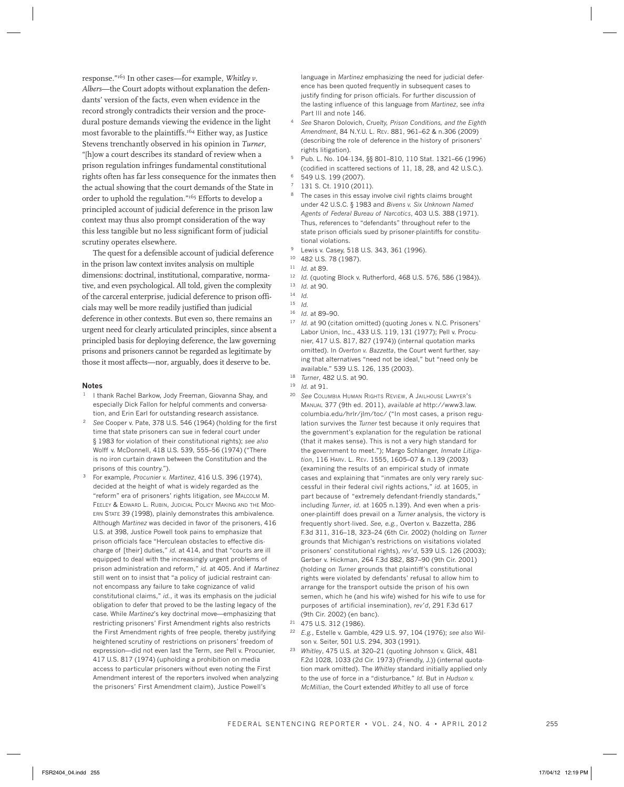response."163 In other cases—for example, *Whitley v. Albers*—the Court adopts without explanation the defendants' version of the facts, even when evidence in the record strongly contradicts their version and the procedural posture demands viewing the evidence in the light most favorable to the plaintiffs.164 Either way, as Justice Stevens trenchantly observed in his opinion in *Turner*, "[h]ow a court describes its standard of review when a prison regulation infringes fundamental constitutional rights often has far less consequence for the inmates then the actual showing that the court demands of the State in order to uphold the regulation."165 Efforts to develop a principled account of judicial deference in the prison law context may thus also prompt consideration of the way this less tangible but no less significant form of judicial scrutiny operates elsewhere.

The quest for a defensible account of judicial deference in the prison law context invites analysis on multiple dimensions: doctrinal, institutional, comparative, normative, and even psychological. All told, given the complexity of the carceral enterprise, judicial deference to prison officials may well be more readily justified than judicial deference in other contexts. But even so, there remains an urgent need for clearly articulated principles, since absent a principled basis for deploying deference, the law governing prisons and prisoners cannot be regarded as legitimate by those it most affects—nor, arguably, does it deserve to be.

#### **Notes**

- <sup>1</sup> I thank Rachel Barkow, Jody Freeman, Giovanna Shay, and especially Dick Fallon for helpful comments and conversation, and Erin Earl for outstanding research assistance.
- <sup>2</sup> *See* Cooper v. Pate, 378 U.S. 546 (1964) (holding for the first time that state prisoners can sue in federal court under § 1983 for violation of their constitutional rights); *see also* Wolff v. McDonnell, 418 U.S. 539, 555–56 (1974) ("There is no iron curtain drawn between the Constitution and the prisons of this country.").
- <sup>3</sup> For example, *Procunier v. Martinez*, 416 U.S. 396 (1974), decided at the height of what is widely regarded as the "reform" era of prisoners' rights litigation, *see* Malcolm M. Feeley & Edward L. Rubin, Judicial Policy Making and the Mod-ERN STATE 39 (1998), plainly demonstrates this ambivalence. Although *Martinez* was decided in favor of the prisoners, 416 U.S. at 398, Justice Powell took pains to emphasize that prison officials face "Herculean obstacles to effective discharge of [their] duties," *id.* at 414, and that "courts are ill equipped to deal with the increasingly urgent problems of prison administration and reform," *id.* at 405. And if *Martinez* still went on to insist that "a policy of judicial restraint cannot encompass any failure to take cognizance of valid constitutional claims," *id.*, it was its emphasis on the judicial obligation to defer that proved to be the lasting legacy of the case. While *Martinez*'s key doctrinal move—emphasizing that restricting prisoners' First Amendment rights also restricts the First Amendment rights of free people, thereby justifying heightened scrutiny of restrictions on prisoners' freedom of expression—did not even last the Term, *see* Pell v. Procunier, 417 U.S. 817 (1974) (upholding a prohibition on media access to particular prisoners without even noting the First Amendment interest of the reporters involved when analyzing the prisoners' First Amendment claim), Justice Powell's

language in *Martinez* emphasizing the need for judicial deference has been quoted frequently in subsequent cases to justify finding for prison officials. For further discussion of the lasting influence of this language from *Martinez*, see *infra* Part III and note 146.

- <sup>4</sup> *See* Sharon Dolovich, *Cruelty, Prison Conditions, and the Eighth Amendment*, 84 N.Y.U. L. Rev. 881, 961–62 & n.306 (2009) (describing the role of deference in the history of prisoners' rights litigation).
- <sup>5</sup> Pub. L. No. 104-134, §§ 801–810, 110 Stat. 1321–66 (1996) (codified in scattered sections of 11, 18, 28, and 42 U.S.C.). <sup>6</sup> 549 U.S. 199 (2007).
- <sup>7</sup> 131 S. Ct. 1910 (2011).
- The cases in this essay involve civil rights claims brought under 42 U.S.C. § 1983 and *Bivens v. Six Unknown Named Agents of Federal Bureau of Narcotics*, 403 U.S. 388 (1971). Thus, references to "defendants" throughout refer to the state prison officials sued by prisoner-plaintiffs for constitutional violations.
- Lewis v. Casey, 518 U.S. 343, 361 (1996).
- <sup>10</sup> 482 U.S. 78 (1987).
- <sup>11</sup> *Id.* at 89.
- <sup>12</sup> *Id.* (quoting Block v. Rutherford, 468 U.S. 576, 586 (1984)). <sup>13</sup> *Id.* at 90.
- <sup>14</sup> *Id.*
- <sup>15</sup> *Id.*
- <sup>16</sup> *Id.* at 89–90.
- <sup>17</sup> *Id.* at 90 (citation omitted) (quoting Jones v. N.C. Prisoners' Labor Union, Inc., 433 U.S. 119, 131 (1977); Pell v. Procunier, 417 U.S. 817, 827 (1974)) (internal quotation marks omitted). In *Overton v. Bazzetta*, the Court went further, saying that alternatives "need not be ideal," but "need only be available." 539 U.S. 126, 135 (2003).
- <sup>18</sup> *Turner*, 482 U.S. at 90.
- <sup>19</sup> *Id.* at 91.
- <sup>20</sup> *See* Columbia Human Rights Review, A Jailhouse Lawyer's Manual 377 (9th ed. 2011), *available at* http://www3.law. columbia.edu/hrlr/jlm/toc/ ("In most cases, a prison regulation survives the *Turner* test because it only requires that the government's explanation for the regulation be rational (that it makes sense). This is not a very high standard for the government to meet."); Margo Schlanger, *Inmate Litigation*, 116 Harv. L. Rev. 1555, 1605–07 & n.139 (2003) (examining the results of an empirical study of inmate cases and explaining that "inmates are only very rarely successful in their federal civil rights actions," *id.* at 1605, in part because of "extremely defendant-friendly standards," including *Turner*, *id.* at 1605 n.139). And even when a prisoner-plaintiff does prevail on a *Turner* analysis, the victory is frequently short-lived. *See, e.g.*, Overton v. Bazzetta, 286 F.3d 311, 316–18, 323–24 (6th Cir. 2002) (holding on *Turner* grounds that Michigan's restrictions on visitations violated prisoners' constitutional rights), *rev'd*, 539 U.S. 126 (2003); Gerber v. Hickman, 264 F.3d 882, 887–90 (9th Cir. 2001) (holding on *Turner* grounds that plaintiff's constitutional rights were violated by defendants' refusal to allow him to arrange for the transport outside the prison of his own semen, which he (and his wife) wished for his wife to use for purposes of artificial insemination), *rev'd*, 291 F.3d 617 (9th Cir. 2002) (en banc).
- <sup>21</sup> 475 U.S. 312 (1986).
- <sup>22</sup> *E.g.*, Estelle v. Gamble, 429 U.S. 97, 104 (1976); *see also* Wilson v. Seiter, 501 U.S. 294, 303 (1991).
- <sup>23</sup> *Whitley*, 475 U.S. at 320–21 (quoting Johnson v. Glick, 481 F.2d 1028, 1033 (2d Cir. 1973) (Friendly, J.)) (internal quotation mark omitted). The *Whitley* standard initially applied only to the use of force in a "disturbance." *Id.* But in *Hudson v. McMillian*, the Court extended *Whitley* to all use of force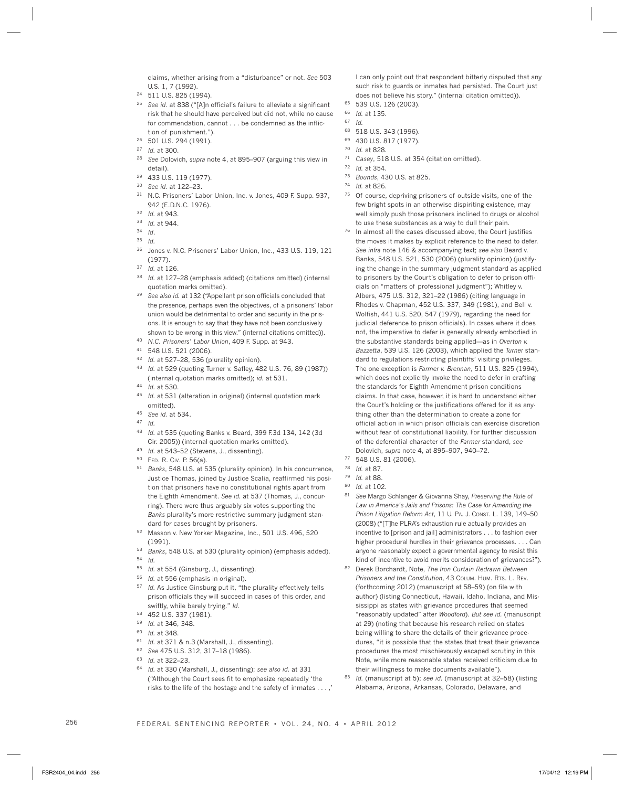claims, whether arising from a "disturbance" or not. *See* 503 U.S. 1, 7 (1992).

- <sup>24</sup> 511 U.S. 825 (1994).
- <sup>25</sup> *See id.* at 838 ("[A]n official's failure to alleviate a significant risk that he should have perceived but did not, while no cause for commendation, cannot . . . be condemned as the infliction of punishment.").
- <sup>26</sup> 501 U.S. 294 (1991).
- <sup>27</sup> *Id.* at 300.
- <sup>28</sup> *See* Dolovich, *supra* note 4, at 895–907 (arguing this view in detail).
- <sup>29</sup> 433 U.S. 119 (1977).
- <sup>30</sup> *See id.* at 122–23.
- <sup>31</sup> N.C. Prisoners' Labor Union, Inc. v. Jones, 409 F. Supp. 937, 942 (E.D.N.C. 1976).
- <sup>32</sup> *Id.* at 943.
- <sup>33</sup> *Id.* at 944.
- <sup>34</sup> *Id*.
- <sup>35</sup> *Id.*
- <sup>36</sup> Jones v. N.C. Prisoners' Labor Union, Inc., 433 U.S. 119, 121 (1977).
- <sup>37</sup> *Id.* at 126.
- <sup>38</sup> *Id.* at 127–28 (emphasis added) (citations omitted) (internal quotation marks omitted).
- <sup>39</sup> *See also id.* at 132 ("Appellant prison officials concluded that the presence, perhaps even the objectives, of a prisoners' labor union would be detrimental to order and security in the prisons. It is enough to say that they have not been conclusively shown to be wrong in this view." (internal citations omitted)).
- <sup>40</sup> *N.C. Prisoners' Labor Union*, 409 F. Supp. at 943.
- <sup>41</sup> 548 U.S. 521 (2006).
- <sup>42</sup> *Id.* at 527–28, 536 (plurality opinion).
- <sup>43</sup> *Id.* at 529 (quoting Turner v. Safley, 482 U.S. 76, 89 (1987)) (internal quotation marks omitted); *id.* at 531.
- <sup>44</sup> *Id.* at 530.
- <sup>45</sup> *Id.* at 531 (alteration in original) (internal quotation mark omitted).
- <sup>46</sup> *See id.* at 534.
- <sup>47</sup> *Id.*
- <sup>48</sup> *Id.* at 535 (quoting Banks v. Beard, 399 F.3d 134, 142 (3d Cir. 2005)) (internal quotation marks omitted).
- <sup>49</sup> *Id.* at 543–52 (Stevens, J., dissenting).
- <sup>50</sup> Fed. R. Civ. P. 56(a).
- <sup>51</sup> *Banks*, 548 U.S. at 535 (plurality opinion). In his concurrence, Justice Thomas, joined by Justice Scalia, reaffirmed his position that prisoners have no constitutional rights apart from the Eighth Amendment. *See id.* at 537 (Thomas, J., concurring). There were thus arguably six votes supporting the *Banks* plurality's more restrictive summary judgment standard for cases brought by prisoners.
- <sup>52</sup> Masson v. New Yorker Magazine, Inc., 501 U.S. 496, 520 (1991).
- <sup>53</sup> *Banks*, 548 U.S. at 530 (plurality opinion) (emphasis added). <sup>54</sup> *Id.*
- <sup>55</sup> *Id.* at 554 (Ginsburg, J., dissenting).
- <sup>56</sup> *Id.* at 556 (emphasis in original).
- <sup>57</sup> *Id.* As Justice Ginsburg put it, "the plurality effectively tells prison officials they will succeed in cases of this order, and swiftly, while barely trying." *Id.*
- <sup>58</sup> 452 U.S. 337 (1981).
- <sup>59</sup> *Id.* at 346, 348.
- <sup>60</sup> *Id.* at 348.
- <sup>61</sup> *Id.* at 371 & n.3 (Marshall, J., dissenting).
- <sup>62</sup> *See* 475 U.S. 312, 317–18 (1986).
- <sup>63</sup> *Id.* at 322–23.
- <sup>64</sup> *Id.* at 330 (Marshall, J., dissenting); *see also id.* at 331 ("Although the Court sees fit to emphasize repeatedly 'the risks to the life of the hostage and the safety of inmates . . . ,'

I can only point out that respondent bitterly disputed that any such risk to guards or inmates had persisted. The Court just does not believe his story." (internal citation omitted)).

<sup>65</sup> 539 U.S. 126 (2003).

- <sup>67</sup> *Id.*
- <sup>68</sup> 518 U.S. 343 (1996).
- <sup>69</sup> 430 U.S. 817 (1977).
- <sup>70</sup> *Id.* at 828.
- <sup>71</sup> *Casey*, 518 U.S. at 354 (citation omitted).
- <sup>72</sup> *Id.* at 354.
	- <sup>73</sup> *Bounds*, 430 U.S. at 825.
- <sup>74</sup> *Id.* at 826.
- <sup>75</sup> Of course, depriving prisoners of outside visits, one of the few bright spots in an otherwise dispiriting existence, may well simply push those prisoners inclined to drugs or alcohol to use these substances as a way to dull their pain.
- In almost all the cases discussed above, the Court justifies the moves it makes by explicit reference to the need to defer. *See infra* note 146 & accompanying text; *see also* Beard v. Banks, 548 U.S. 521, 530 (2006) (plurality opinion) (justifying the change in the summary judgment standard as applied to prisoners by the Court's obligation to defer to prison officials on "matters of professional judgment"); Whitley v. Albers, 475 U.S. 312, 321–22 (1986) (citing language in Rhodes v. Chapman, 452 U.S. 337, 349 (1981), and Bell v. Wolfish, 441 U.S. 520, 547 (1979), regarding the need for judicial deference to prison officials). In cases where it does not, the imperative to defer is generally already embodied in the substantive standards being applied—as in *Overton v. Bazzetta*, 539 U.S. 126 (2003), which applied the *Turner* standard to regulations restricting plaintiffs' visiting privileges. The one exception is *Farmer v. Brennan*, 511 U.S. 825 (1994), which does not explicitly invoke the need to defer in crafting the standards for Eighth Amendment prison conditions claims. In that case, however, it is hard to understand either the Court's holding or the justifications offered for it as anything other than the determination to create a zone for official action in which prison officials can exercise discretion without fear of constitutional liability. For further discussion of the deferential character of the *Farmer* standard, *see* Dolovich, *supra* note 4, at 895–907, 940–72.
- <sup>77</sup> 548 U.S. 81 (2006).
- <sup>78</sup> *Id.* at 87.
- <sup>79</sup> *Id.* at 88.
- <sup>80</sup> *Id.* at 102.
- <sup>81</sup> *See* Margo Schlanger & Giovanna Shay, *Preserving the Rule of Law in America's Jails and Prisons: The Case for Amending the Prison Litigation Reform Act*, 11 U. Pa. J. Const. L. 139, 149–50 (2008) ("[T]he PLRA's exhaustion rule actually provides an incentive to [prison and jail] administrators . . . to fashion ever higher procedural hurdles in their grievance processes. . . . Can anyone reasonably expect a governmental agency to resist this kind of incentive to avoid merits consideration of grievances?").
- <sup>82</sup> Derek Borchardt, Note, *The Iron Curtain Redrawn Between Prisoners and the Constitution, 43 COLUM, HUM, RTS, L. REV.* (forthcoming 2012) (manuscript at 58–59) (on file with author) (listing Connecticut, Hawaii, Idaho, Indiana, and Mississippi as states with grievance procedures that seemed "reasonably updated" after *Woodford*). *But see id.* (manuscript at 29) (noting that because his research relied on states being willing to share the details of their grievance procedures, "it is possible that the states that treat their grievance procedures the most mischievously escaped scrutiny in this Note, while more reasonable states received criticism due to their willingness to make documents available").
- <sup>83</sup> *Id.* (manuscript at 5); *see id.* (manuscript at 32–58) (listing Alabama, Arizona, Arkansas, Colorado, Delaware, and

<sup>66</sup> *Id.* at 135.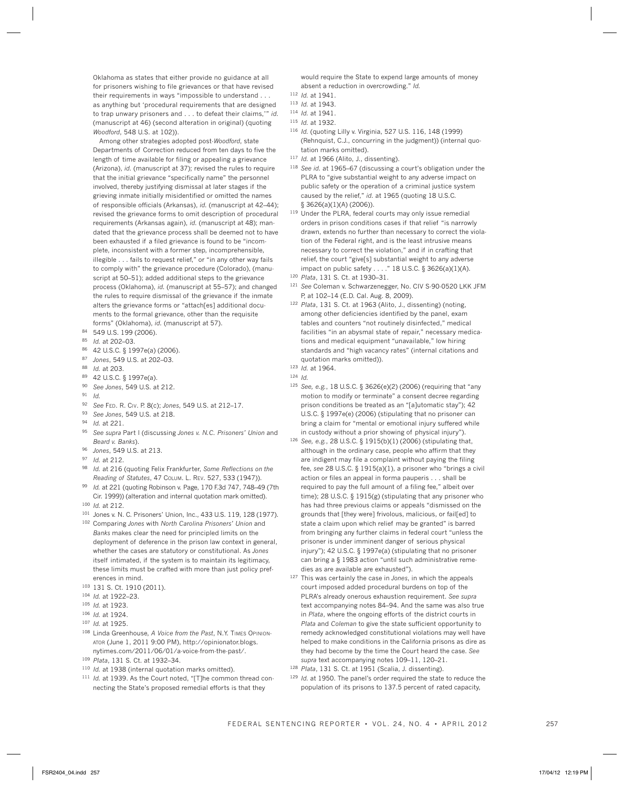Oklahoma as states that either provide no guidance at all for prisoners wishing to file grievances or that have revised their requirements in ways "impossible to understand . . . as anything but 'procedural requirements that are designed to trap unwary prisoners and . . . to defeat their claims,'" *id.* (manuscript at 46) (second alteration in original) (quoting *Woodford*, 548 U.S. at 102)).

 Among other strategies adopted post-*Woodford*, state Departments of Correction reduced from ten days to five the length of time available for filing or appealing a grievance (Arizona), *id.* (manuscript at 37); revised the rules to require that the initial grievance "specifically name" the personnel involved, thereby justifying dismissal at later stages if the grieving inmate initially misidentified or omitted the names of responsible officials (Arkansas), *id.* (manuscript at 42–44); revised the grievance forms to omit description of procedural requirements (Arkansas again), *id.* (manuscript at 48); mandated that the grievance process shall be deemed not to have been exhausted if a filed grievance is found to be "incomplete, inconsistent with a former step, incomprehensible, illegible . . . fails to request relief," or "in any other way fails to comply with" the grievance procedure (Colorado), (manuscript at 50–51); added additional steps to the grievance process (Oklahoma), *id.* (manuscript at 55–57); and changed the rules to require dismissal of the grievance if the inmate alters the grievance forms or "attach[es] additional documents to the formal grievance, other than the requisite forms" (Oklahoma), *id.* (manuscript at 57).

- <sup>84</sup> 549 U.S. 199 (2006).
- <sup>85</sup> *Id.* at 202–03.
- <sup>86</sup> 42 U.S.C. § 1997e(a) (2006).
- <sup>87</sup> *Jones*, 549 U.S. at 202–03.
- <sup>88</sup> *Id.* at 203.
- <sup>89</sup> 42 U.S.C. § 1997e(a).
- <sup>90</sup> *See Jones*, 549 U.S. at 212.
- <sup>91</sup> *Id.*
- <sup>92</sup> *See* Fed. R. Civ. P. 8(c); *Jones*, 549 U.S. at 212–17.
- <sup>93</sup> *See Jones*, 549 U.S. at 218.
- <sup>94</sup> *Id.* at 221.
- <sup>95</sup> *See supra* Part I (discussing *Jones v. N.C. Prisoners' Union* and *Beard v. Banks*).
- <sup>96</sup> *Jones*, 549 U.S. at 213.
- <sup>97</sup> *Id.* at 212.
- <sup>98</sup> *Id.* at 216 (quoting Felix Frankfurter, *Some Reflections on the Reading of Statutes*, 47 Colum. L. Rev. 527, 533 (1947)).
- <sup>99</sup> *Id.* at 221 (quoting Robinson v. Page, 170 F.3d 747, 748–49 (7th Cir. 1999)) (alteration and internal quotation mark omitted).
- <sup>100</sup> *Id.* at 212.
- 101 Jones v. N. C. Prisoners' Union, Inc., 433 U.S. 119, 128 (1977).
- <sup>102</sup> Comparing *Jones* with *North Carolina Prisoners' Union* and *Banks* makes clear the need for principled limits on the deployment of deference in the prison law context in general, whether the cases are statutory or constitutional. As *Jones* itself intimated, if the system is to maintain its legitimacy, these limits must be crafted with more than just policy preferences in mind.
- <sup>103</sup> 131 S. Ct. 1910 (2011).
- <sup>104</sup> *Id.* at 1922–23.
- <sup>105</sup> *Id.* at 1923.
- <sup>106</sup> *Id.* at 1924.
- <sup>107</sup> *Id.* at 1925.
- <sup>108</sup> Linda Greenhouse, *A Voice from the Past*, N.Y. Times Opinionator (June 1, 2011 9:00 PM), http://opinionator.blogs. nytimes.com/2011/06/01/a-voice-from-the-past/.
- <sup>109</sup> *Plata*, 131 S. Ct. at 1932–34.
- <sup>110</sup> *Id.* at 1938 (internal quotation marks omitted).
- <sup>111</sup> *Id.* at 1939. As the Court noted, "[T]he common thread connecting the State's proposed remedial efforts is that they

would require the State to expend large amounts of money absent a reduction in overcrowding." *Id.*

- <sup>112</sup> *Id.* at 1941.
- <sup>113</sup> *Id.* at 1943.
- <sup>114</sup> *Id.* at 1941.
- <sup>115</sup> *Id.* at 1932.
- <sup>116</sup> *Id.* (quoting Lilly v. Virginia, 527 U.S. 116, 148 (1999) (Rehnquist, C.J., concurring in the judgment)) (internal quotation marks omitted).
- <sup>117</sup> *Id.* at 1966 (Alito, J., dissenting).
- <sup>118</sup> *See id.* at 1965–67 (discussing a court's obligation under the PLRA to "give substantial weight to any adverse impact on public safety or the operation of a criminal justice system caused by the relief," *id.* at 1965 (quoting 18 U.S.C. § 3626(a)(1)(A) (2006)).
- 119 Under the PLRA, federal courts may only issue remedial orders in prison conditions cases if that relief "is narrowly drawn, extends no further than necessary to correct the violation of the Federal right, and is the least intrusive means necessary to correct the violation," and if in crafting that relief, the court "give[s] substantial weight to any adverse impact on public safety . . . ." 18 U.S.C. § 3626(a)(1)(A).
- <sup>120</sup> *Plata*, 131 S. Ct. at 1930–31. <sup>121</sup> *See* Coleman v. Schwarzenegger, No. CIV S-90-0520 LKK JFM P, at 102–14 (E.D. Cal. Aug. 8, 2009).
- <sup>122</sup> *Plata*, 131 S. Ct. at 1963 (Alito, J., dissenting) (noting, among other deficiencies identified by the panel, exam tables and counters "not routinely disinfected," medical facilities "in an abysmal state of repair," necessary medications and medical equipment "unavailable," low hiring standards and "high vacancy rates" (internal citations and quotation marks omitted)).
- <sup>123</sup> *Id.* at 1964.
- <sup>124</sup> *Id.*
- <sup>125</sup> *See, e.g.*, 18 U.S.C. § 3626(e)(2) (2006) (requiring that "any motion to modify or terminate" a consent decree regarding prison conditions be treated as an "[a]utomatic stay"); 42 U.S.C. § 1997e(e) (2006) (stipulating that no prisoner can bring a claim for "mental or emotional injury suffered while in custody without a prior showing of physical injury").
- <sup>126</sup> *See, e.g.*, 28 U.S.C. § 1915(b)(1) (2006) (stipulating that, although in the ordinary case, people who affirm that they are indigent may file a complaint without paying the filing fee, *see* 28 U.S.C. § 1915(a)(1), a prisoner who "brings a civil action or files an appeal in forma pauperis . . . shall be required to pay the full amount of a filing fee," albeit over time); 28 U.S.C. § 1915(g) (stipulating that any prisoner who has had three previous claims or appeals "dismissed on the grounds that [they were] frivolous, malicious, or fail[ed] to state a claim upon which relief may be granted" is barred from bringing any further claims in federal court "unless the prisoner is under imminent danger of serious physical injury"); 42 U.S.C. § 1997e(a) (stipulating that no prisoner can bring a § 1983 action "until such administrative remedies as are available are exhausted").
- <sup>127</sup> This was certainly the case in *Jones*, in which the appeals court imposed added procedural burdens on top of the PLRA's already onerous exhaustion requirement. *See supra* text accompanying notes 84–94. And the same was also true in *Plata*, where the ongoing efforts of the district courts in *Plata* and *Coleman* to give the state sufficient opportunity to remedy acknowledged constitutional violations may well have helped to make conditions in the California prisons as dire as they had become by the time the Court heard the case. *See supra* text accompanying notes 109–11, 120–21.
- <sup>128</sup> *Plata*, 131 S. Ct. at 1951 (Scalia, J. dissenting).
- <sup>129</sup> *Id.* at 1950. The panel's order required the state to reduce the population of its prisons to 137.5 percent of rated capacity,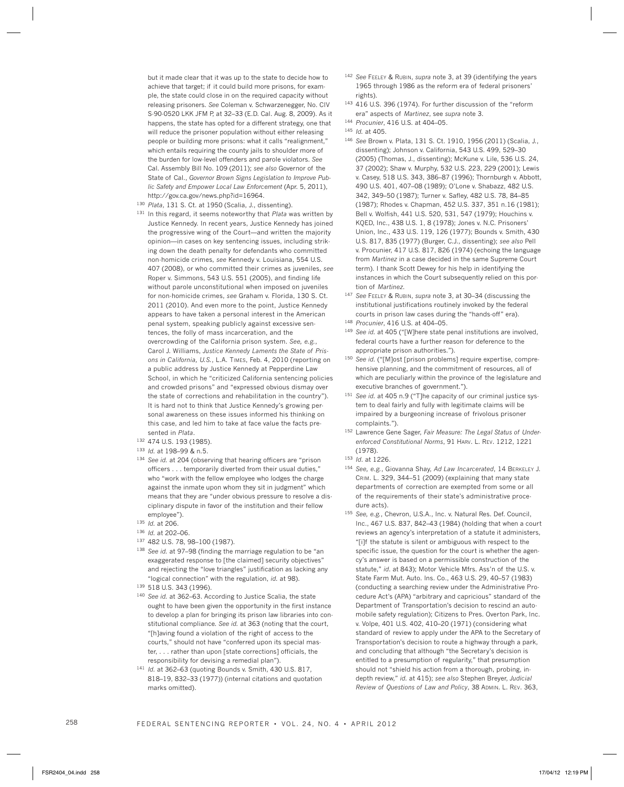but it made clear that it was up to the state to decide how to achieve that target; if it could build more prisons, for example, the state could close in on the required capacity without releasing prisoners. *See* Coleman v. Schwarzenegger, No. CIV S-90-0520 LKK JFM P, at 32–33 (E.D. Cal. Aug. 8, 2009). As it happens, the state has opted for a different strategy, one that will reduce the prisoner population without either releasing people or building more prisons: what it calls "realignment," which entails requiring the county jails to shoulder more of the burden for low-level offenders and parole violators. *See* Cal. Assembly Bill No. 109 (2011); *see also* Governor of the State of Cal., *Governor Brown Signs Legislation to Improve Public Safety and Empower Local Law Enforcement* (Apr. 5, 2011), http://gov.ca.gov/news.php?id=16964.

- <sup>130</sup> *Plata*, 131 S. Ct. at 1950 (Scalia, J., dissenting).
- <sup>131</sup> In this regard, it seems noteworthy that *Plata* was written by Justice Kennedy. In recent years, Justice Kennedy has joined the progressive wing of the Court—and written the majority opinion—in cases on key sentencing issues, including striking down the death penalty for defendants who committed non-homicide crimes, *see* Kennedy v. Louisiana, 554 U.S. 407 (2008), or who committed their crimes as juveniles, *see* Roper v. Simmons, 543 U.S. 551 (2005), and finding life without parole unconstitutional when imposed on juveniles for non-homicide crimes, *see* Graham v. Florida, 130 S. Ct. 2011 (2010). And even more to the point, Justice Kennedy appears to have taken a personal interest in the American penal system, speaking publicly against excessive sentences, the folly of mass incarceration, and the overcrowding of the California prison system. *See, e.g.*, Carol J. Williams, *Justice Kennedy Laments the State of Prisons in California, U.S.*, L.A. Times, Feb. 4, 2010 (reporting on a public address by Justice Kennedy at Pepperdine Law School, in which he "criticized California sentencing policies and crowded prisons" and "expressed obvious dismay over the state of corrections and rehabilitation in the country"). It is hard not to think that Justice Kennedy's growing personal awareness on these issues informed his thinking on this case, and led him to take at face value the facts presented in *Plata*.
- 132 474 U.S. 193 (1985).
- <sup>133</sup> *Id.* at 198–99 & n.5.
- <sup>134</sup> *See id.* at 204 (observing that hearing officers are "prison officers . . . temporarily diverted from their usual duties," who "work with the fellow employee who lodges the charge against the inmate upon whom they sit in judgment" which means that they are "under obvious pressure to resolve a disciplinary dispute in favor of the institution and their fellow employee").
- <sup>135</sup> *Id.* at 206.
- <sup>136</sup> *Id.* at 202–06.
- <sup>137</sup> 482 U.S. 78, 98–100 (1987).
- <sup>138</sup> *See id.* at 97–98 (finding the marriage regulation to be "an exaggerated response to [the claimed] security objectives" and rejecting the "love triangles" justification as lacking any "logical connection" with the regulation, *id.* at 98).
- 139 518 U.S. 343 (1996).
- <sup>140</sup> *See id.* at 362–63. According to Justice Scalia, the state ought to have been given the opportunity in the first instance to develop a plan for bringing its prison law libraries into constitutional compliance. *See id.* at 363 (noting that the court, "[h]aving found a violation of the right of access to the courts," should not have "conferred upon its special master, . . . rather than upon [state corrections] officials, the responsibility for devising a remedial plan").
- <sup>141</sup> *Id.* at 362–63 (quoting Bounds v. Smith, 430 U.S. 817, 818–19, 832–33 (1977)) (internal citations and quotation marks omitted).
- <sup>142</sup> *See* Feeley & Rubin, *supra* note 3, at 39 (identifying the years 1965 through 1986 as the reform era of federal prisoners' rights).
- <sup>143</sup> 416 U.S. 396 (1974). For further discussion of the "reform era" aspects of *Martinez*, see *supra* note 3.
- <sup>144</sup> *Procunier*, 416 U.S. at 404–05.
- <sup>145</sup> *Id.* at 405.
- <sup>146</sup> *See* Brown v. Plata, 131 S. Ct. 1910, 1956 (2011) (Scalia, J., dissenting); Johnson v. California, 543 U.S. 499, 529–30 (2005) (Thomas, J., dissenting); McKune v. Lile, 536 U.S. 24, 37 (2002); Shaw v. Murphy, 532 U.S. 223, 229 (2001); Lewis v. Casey, 518 U.S. 343, 386–87 (1996); Thornburgh v. Abbott, 490 U.S. 401, 407–08 (1989); O'Lone v. Shabazz, 482 U.S. 342, 349–50 (1987); Turner v. Safley, 482 U.S. 78, 84–85 (1987); Rhodes v. Chapman, 452 U.S. 337, 351 n.16 (1981); Bell v. Wolfish, 441 U.S. 520, 531, 547 (1979); Houchins v. KQED, Inc., 438 U.S. 1, 8 (1978); Jones v. N.C. Prisoners' Union, Inc., 433 U.S. 119, 126 (1977); Bounds v. Smith, 430 U.S. 817, 835 (1977) (Burger, C.J., dissenting); *see also* Pell v. Procunier, 417 U.S. 817, 826 (1974) (echoing the language from *Martinez* in a case decided in the same Supreme Court term). I thank Scott Dewey for his help in identifying the instances in which the Court subsequently relied on this portion of *Martinez*.
- <sup>147</sup> *See* Feeley & Rubin, *supra* note 3, at 30–34 (discussing the institutional justifications routinely invoked by the federal courts in prison law cases during the "hands-off" era).
- <sup>148</sup> *Procunier*, 416 U.S. at 404–05.
- <sup>149</sup> *See id.* at 405 ("[W]here state penal institutions are involved, federal courts have a further reason for deference to the appropriate prison authorities.").
- <sup>150</sup> *See id.* ("[M]ost [prison problems] require expertise, comprehensive planning, and the commitment of resources, all of which are peculiarly within the province of the legislature and executive branches of government.").
- <sup>151</sup> *See id.* at 405 n.9 ("T]he capacity of our criminal justice system to deal fairly and fully with legitimate claims will be impaired by a burgeoning increase of frivolous prisoner complaints.").
- <sup>152</sup> Lawrence Gene Sager, *Fair Measure: The Legal Status of Underenforced Constitutional Norms*, 91 Harv. L. Rev. 1212, 1221 (1978).
- <sup>153</sup> *Id*. at 1226.
- <sup>154</sup> *See, e.g.*, Giovanna Shay, *Ad Law Incarcerated*, 14 Berkeley J. Crim. L. 329, 344–51 (2009) (explaining that many state departments of correction are exempted from some or all of the requirements of their state's administrative procedure acts).
- <sup>155</sup> *See, e.g.*, Chevron, U.S.A., Inc. v. Natural Res. Def. Council, Inc., 467 U.S. 837, 842–43 (1984) (holding that when a court reviews an agency's interpretation of a statute it administers, "[i]f the statute is silent or ambiguous with respect to the specific issue, the question for the court is whether the agency's answer is based on a permissible construction of the statute," *id*. at 843); Motor Vehicle Mfrs. Ass'n of the U.S. v. State Farm Mut. Auto. Ins. Co., 463 U.S. 29, 40–57 (1983) (conducting a searching review under the Administrative Procedure Act's (APA) "arbitrary and capricious" standard of the Department of Transportation's decision to rescind an automobile safety regulation); Citizens to Pres. Overton Park, Inc. v. Volpe, 401 U.S. 402, 410–20 (1971) (considering what standard of review to apply under the APA to the Secretary of Transportation's decision to route a highway through a park, and concluding that although "the Secretary's decision is entitled to a presumption of regularity," that presumption should not "shield his action from a thorough, probing, indepth review," *id.* at 415); *see also* Stephen Breyer, *Judicial Review of Questions of Law and Policy*, 38 ADMIN. L. REV. 363,